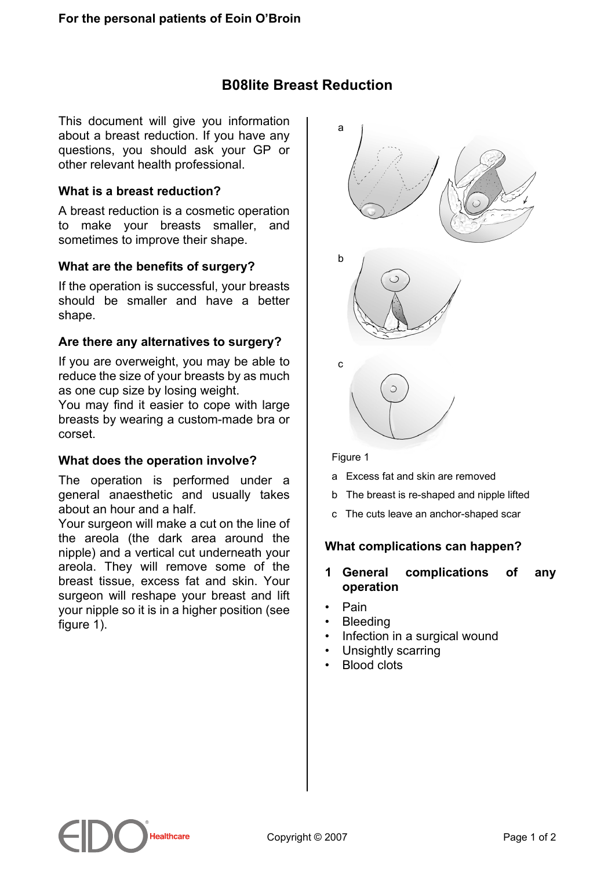# **B08lite Breast Reduction**

This document will give you information about a breast reduction. If you have any questions, you should ask your GP or other relevant health professional.

### **What is a breast reduction?**

A breast reduction is a cosmetic operation to make your breasts smaller, and sometimes to improve their shape.

### **What are the benefits of surgery?**

If the operation is successful, your breasts should be smaller and have a better shape.

### **Are there any alternatives to surgery?**

If you are overweight, you may be able to reduce the size of your breasts by as much as one cup size by losing weight.

You may find it easier to cope with large breasts by wearing a custom-made bra or corset.

### **What does the operation involve?**

The operation is performed under a general anaesthetic and usually takes about an hour and a half.

Your surgeon will make a cut on the line of the areola (the dark area around the nipple) and a vertical cut underneath your areola. They will remove some of the breast tissue, excess fat and skin. Your surgeon will reshape your breast and lift your nipple so it is in a higher position (see figure 1).



#### Figure 1

- a Excess fat and skin are removed
- b The breast is re-shaped and nipple lifted
- c The cuts leave an anchor-shaped scar

## **What complications can happen?**

#### **1 General complications of any operation**

- Pain
- Bleeding
- Infection in a surgical wound
- Unsightly scarring
- Blood clots